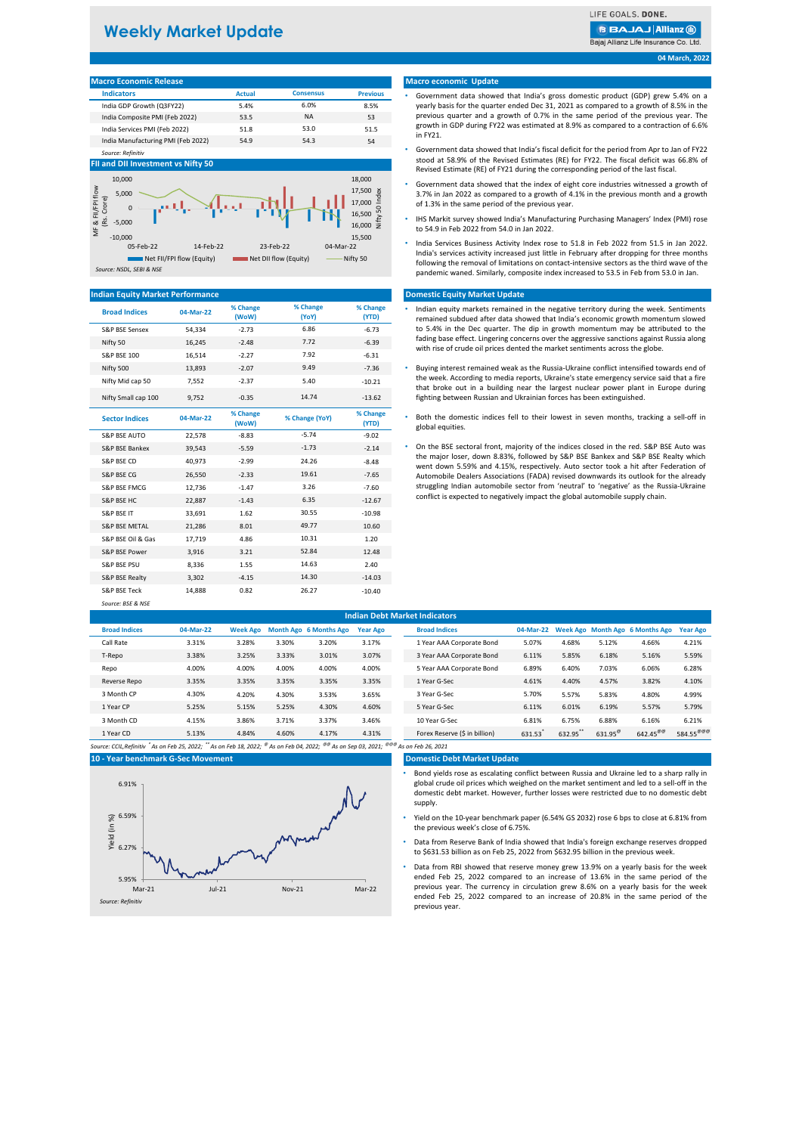# **Weekly Market Update**

LIFE GOALS, DONE.

**BBAJAJ Allianz M** 

Bajaj Allianz Life Insurance Co. Ltd.

**04 March, 2022**

| <b>Macro Economic Release</b>      |               |                  |                 |
|------------------------------------|---------------|------------------|-----------------|
| <b>Indicators</b>                  | <b>Actual</b> | <b>Consensus</b> | <b>Previous</b> |
| India GDP Growth (Q3FY22)          | 5.4%          | 6.0%             | 8.5%            |
| India Composite PMI (Feb 2022)     | 53.5          | <b>NA</b>        | 53              |
| India Services PMI (Feb 2022)      | 51.8          | 53.0             | 51.5            |
| India Manufacturing PMI (Feb 2022) | 54.9          | 54.3             | 54              |

# **FII and DII Investment vs Nifty 50**

*Source: Refinitiv*



# **Indian Equity Market Performance**

| <b>Broad Indices</b>     | 04-Mar-22 | % Change<br>(WoW) | % Change<br>(YoY) | % Change<br>(YTD) |
|--------------------------|-----------|-------------------|-------------------|-------------------|
| S&P BSE Sensex           | 54,334    | $-2.73$           | 6.86              | $-6.73$           |
| Nifty 50                 | 16.245    | $-2.48$           | 7.72              | $-6.39$           |
| <b>S&amp;P BSE 100</b>   | 16,514    | $-2.27$           | 7.92              | $-6.31$           |
| Nifty 500                | 13,893    | $-2.07$           | 9.49              | $-7.36$           |
| Nifty Mid cap 50         | 7,552     | $-2.37$           | 5.40              | $-10.21$          |
| Nifty Small cap 100      | 9,752     | $-0.35$           | 14.74             | $-13.62$          |
| <b>Sector Indices</b>    | 04-Mar-22 | % Change<br>(WoW) | % Change (YoY)    | % Change<br>(YTD) |
| S&P BSE AUTO             | 22,578    | $-8.83$           | $-5.74$           | $-9.02$           |
| S&P BSF Bankex           | 39.543    | $-5.59$           | $-1.73$           | $-2.14$           |
| S&P BSE CD               | 40,973    | $-2.99$           | 24.26             | $-8.48$           |
| S&P BSE CG               | 26,550    | $-2.33$           | 19.61             | $-7.65$           |
| S&P BSE FMCG             | 12,736    | $-1.47$           | 3.26              | $-7.60$           |
| S&P BSE HC               | 22,887    | $-1.43$           | 6.35              | $-12.67$          |
| S&P BSE IT               | 33,691    | 1.62              | 30.55             | $-10.98$          |
| <b>S&amp;P BSE METAL</b> | 21,286    | 8.01              | 49.77             | 10.60             |
| S&P BSE Oil & Gas        | 17,719    | 4.86              | 10.31             | 1.20              |
| S&P BSE Power            | 3,916     | 3.21              | 52.84             | 12.48             |
| <b>S&amp;P BSE PSU</b>   | 8,336     | 1.55              | 14.63             | 2.40              |
| S&P BSE Realty           | 3,302     | $-4.15$           | 14.30             | $-14.03$          |
| S&P BSE Teck             | 14,888    | 0.82              | 26.27             | $-10.40$          |
| Source: BSF & NSF        |           |                   |                   |                   |

### **Macro economic Update**

- Government data showed that India's gross domestic product (GDP) grew 5.4% on a yearly basis for the quarter ended Dec 31, 2021 as compared to a growth of 8.5% in the previous quarter and a growth of 0.7% in the same period of the previous year. The growth in GDP during FY22 was estimated at 8.9% as compared to a contraction of 6.6% in FY21.
- Government data showed that India's fiscal deficit for the period from Apr to Jan of FY22 stood at 58.9% of the Revised Estimates (RE) for FY22. The fiscal deficit was 66.8% of Revised Estimate (RE) of FY21 during the corresponding period of the last fiscal.
- Government data showed that the index of eight core industries witnessed a growth of 3.7% in Jan 2022 as compared to a growth of 4.1% in the previous month and a growth of 1.3% in the same period of the previous year.
- IHS Markit survey showed India's Manufacturing Purchasing Managers' Index (PMI) rose to 54.9 in Feb 2022 from 54.0 in Jan 2022.
- India Services Business Activity Index rose to 51.8 in Feb 2022 from 51.5 in Jan 2022. India's services activity increased just little in February after dropping for three months following the removal of limitations on contact-intensive sectors as the third wave of the pandemic waned. Similarly, composite index increased to 53.5 in Feb from 53.0 in Jan.

# **Domestic Equity Market Update**

- Indian equity markets remained in the negative territory during the week. Sentiments remained subdued after data showed that India's economic growth momentum slowed to 5.4% in the Dec quarter. The dip in growth momentum may be attributed to the fading base effect. Lingering concerns over the aggressive sanctions against Russia along with rise of crude oil prices dented the market sentiments across the globe.
- Buying interest remained weak as the Russia-Ukraine conflict intensified towards end of the week. According to media reports, Ukraine's state emergency service said that a fire that broke out in a building near the largest nuclear power plant in Europe during fighting between Russian and Ukrainian forces has been extinguished.
- Both the domestic indices fell to their lowest in seven months, tracking a sell-off in global equities.
- S&P BSE FMCG 12,736 -1.47 3.26 -7.60 struggling Indian automobile sector from 'neutral' to 'negative' as the Russia-Ukraine • On the BSE sectoral front, majority of the indices closed in the red. S&P BSE Auto was the major loser, down 8.83%, followed by S&P BSE Bankex and S&P BSE Realty which went down 5.59% and 4.15%, respectively. Auto sector took a hit after Federation of Automobile Dealers Associations (FADA) revised downwards its outlook for the already conflict is expected to negatively impact the global automobile supply chain.

| <b>Indian Debt Market Indicators</b> |           |       |       |                                 |                 |  |                               |           |        |                  |                                 |                       |
|--------------------------------------|-----------|-------|-------|---------------------------------|-----------------|--|-------------------------------|-----------|--------|------------------|---------------------------------|-----------------------|
| <b>Broad Indices</b>                 | 04-Mar-22 |       |       | Week Ago Month Ago 6 Months Ago | <b>Year Ago</b> |  | <b>Broad Indices</b>          | 04-Mar-22 |        |                  | Week Ago Month Ago 6 Months Ago | <b>Year Ago</b>       |
| Call Rate                            | 3.31%     | 3.28% | 3.30% | 3.20%                           | 3.17%           |  | 1 Year AAA Corporate Bond     | 5.07%     | 4.68%  | 5.12%            | 4.66%                           | 4.21%                 |
| T-Repo                               | 3.38%     | 3.25% | 3.33% | 3.01%                           | 3.07%           |  | 3 Year AAA Corporate Bond     | 6.11%     | 5.85%  | 6.18%            | 5.16%                           | 5.59%                 |
| Repo                                 | 4.00%     | 4.00% | 4.00% | 4.00%                           | 4.00%           |  | 5 Year AAA Corporate Bond     | 6.89%     | 6.40%  | 7.03%            | 6.06%                           | 6.28%                 |
| Reverse Repo                         | 3.35%     | 3.35% | 3.35% | 3.35%                           | 3.35%           |  | 1 Year G-Sec                  | 4.61%     | 4.40%  | 4.57%            | 3.82%                           | 4.10%                 |
| 3 Month CP                           | 4.30%     | 4.20% | 4.30% | 3.53%                           | 3.65%           |  | 3 Year G-Sec                  | 5.70%     | 5.57%  | 5.83%            | 4.80%                           | 4.99%                 |
| 1 Year CP                            | 5.25%     | 5.15% | 5.25% | 4.30%                           | 4.60%           |  | 5 Year G-Sec                  | 6.11%     | 6.01%  | 6.19%            | 5.57%                           | 5.79%                 |
| 3 Month CD                           | 4.15%     | 3.86% | 3.71% | 3.37%                           | 3.46%           |  | 10 Year G-Sec                 | 6.81%     | 6.75%  | 6.88%            | 6.16%                           | 6.21%                 |
| 1 Year CD                            | 5.13%     | 4.84% | 4.60% | 4.17%                           | 4.31%           |  | Forex Reserve (\$ in billion) | 631.53    | 632.95 | $631.95^{\circ}$ | $642.45^{\circ\circ\circ}$      | $584.55^{\text{OCE}}$ |
|                                      |           |       |       |                                 |                 |  | .                             |           |        |                  |                                 |                       |

*Source: CCIL,Refinitiv \* As on Feb 25, 2022; \*\* As on Feb 18, 2022; @ As on Feb 04, 2022; @@ As on Sep 03, 2021; @@@ As on Feb 26, 2021* **10 - Year benchmark G-Sec Movement**



## **Domestic Debt Market Update**

- Bond yields rose as escalating conflict between Russia and Ukraine led to a sharp rally in global crude oil prices which weighed on the market sentiment and led to a sell-off in the domestic debt market. However, further losses were restricted due to no domestic debt supply.
- Yield on the 10-year benchmark paper (6.54% GS 2032) rose 6 bps to close at 6.81% from the previous week's close of 6.75%.
- Data from Reserve Bank of India showed that India's foreign exchange reserves dropped to \$631.53 billion as on Feb 25, 2022 from \$632.95 billion in the previous week.
- Data from RBI showed that reserve money grew 13.9% on a yearly basis for the week ended Feb 25, 2022 compared to an increase of 13.6% in the same period of the previous year. The currency in circulation grew 8.6% on a yearly basis for the week ended Feb 25, 2022 compared to an increase of 20.8% in the same period of the previous year.